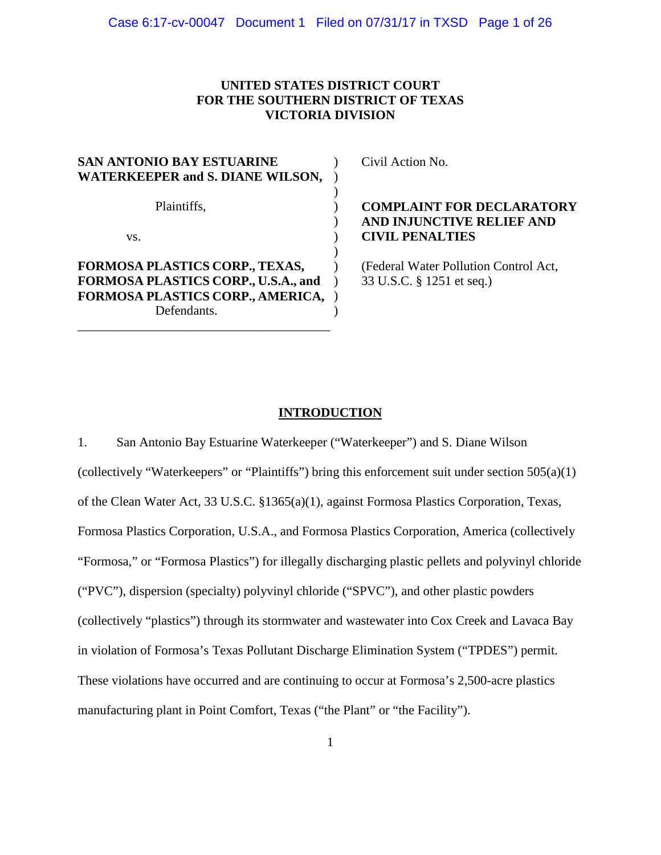### **UNITED STATES DISTRICT COURT FOR THE SOUTHERN DISTRICT OF TEXAS VICTORIA DIVISION**

| <b>SAN ANTONIO BAY ESTUARINE</b>        |  |
|-----------------------------------------|--|
| <b>WATERKEEPER and S. DIANE WILSON,</b> |  |
|                                         |  |
| Plaintiffs,                             |  |
|                                         |  |
| VS.                                     |  |
|                                         |  |
| <b>FORMOSA PLASTICS CORP., TEXAS,</b>   |  |
| FORMOSA PLASTICS CORP., U.S.A., and     |  |
| FORMOSA PLASTICS CORP., AMERICA,        |  |
| Defendants.                             |  |
|                                         |  |

Civil Action No.

**COMPLAINT FOR DECLARATORY AND INJUNCTIVE RELIEF AND CIVIL PENALTIES**

(Federal Water Pollution Control Act, 33 U.S.C. § 1251 et seq.)

### **INTRODUCTION**

1. San Antonio Bay Estuarine Waterkeeper ("Waterkeeper") and S. Diane Wilson (collectively "Waterkeepers" or "Plaintiffs") bring this enforcement suit under section 505(a)(1) of the Clean Water Act, 33 U.S.C. §1365(a)(1), against Formosa Plastics Corporation, Texas, Formosa Plastics Corporation, U.S.A., and Formosa Plastics Corporation, America (collectively "Formosa," or "Formosa Plastics") for illegally discharging plastic pellets and polyvinyl chloride ("PVC"), dispersion (specialty) polyvinyl chloride ("SPVC"), and other plastic powders (collectively "plastics") through its stormwater and wastewater into Cox Creek and Lavaca Bay in violation of Formosa's Texas Pollutant Discharge Elimination System ("TPDES") permit. These violations have occurred and are continuing to occur at Formosa's 2,500-acre plastics manufacturing plant in Point Comfort, Texas ("the Plant" or "the Facility").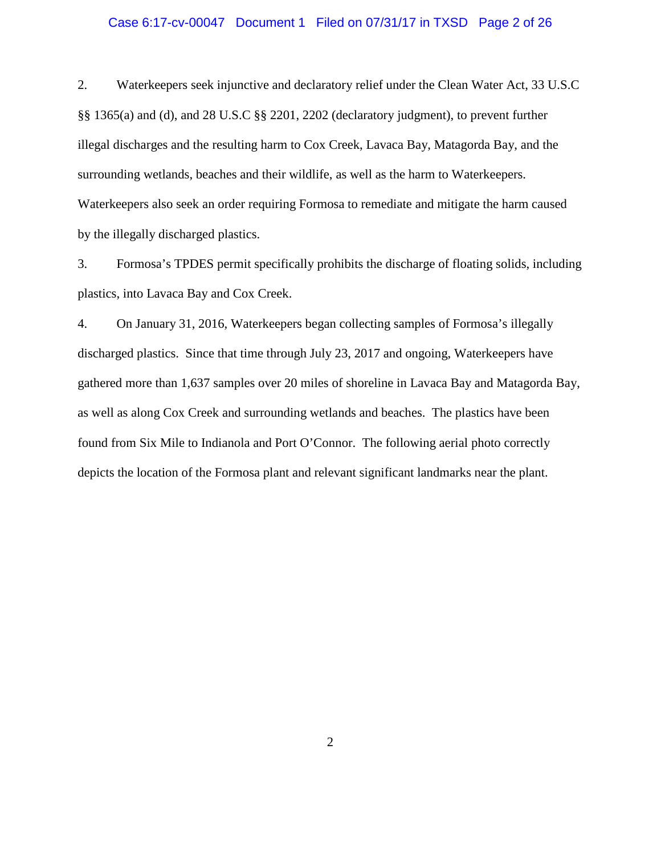### Case 6:17-cv-00047 Document 1 Filed on 07/31/17 in TXSD Page 2 of 26

2. Waterkeepers seek injunctive and declaratory relief under the Clean Water Act, 33 U.S.C §§ 1365(a) and (d), and 28 U.S.C §§ 2201, 2202 (declaratory judgment), to prevent further illegal discharges and the resulting harm to Cox Creek, Lavaca Bay, Matagorda Bay, and the surrounding wetlands, beaches and their wildlife, as well as the harm to Waterkeepers. Waterkeepers also seek an order requiring Formosa to remediate and mitigate the harm caused by the illegally discharged plastics.

3. Formosa's TPDES permit specifically prohibits the discharge of floating solids, including plastics, into Lavaca Bay and Cox Creek.

4. On January 31, 2016, Waterkeepers began collecting samples of Formosa's illegally discharged plastics. Since that time through July 23, 2017 and ongoing, Waterkeepers have gathered more than 1,637 samples over 20 miles of shoreline in Lavaca Bay and Matagorda Bay, as well as along Cox Creek and surrounding wetlands and beaches. The plastics have been found from Six Mile to Indianola and Port O'Connor. The following aerial photo correctly depicts the location of the Formosa plant and relevant significant landmarks near the plant.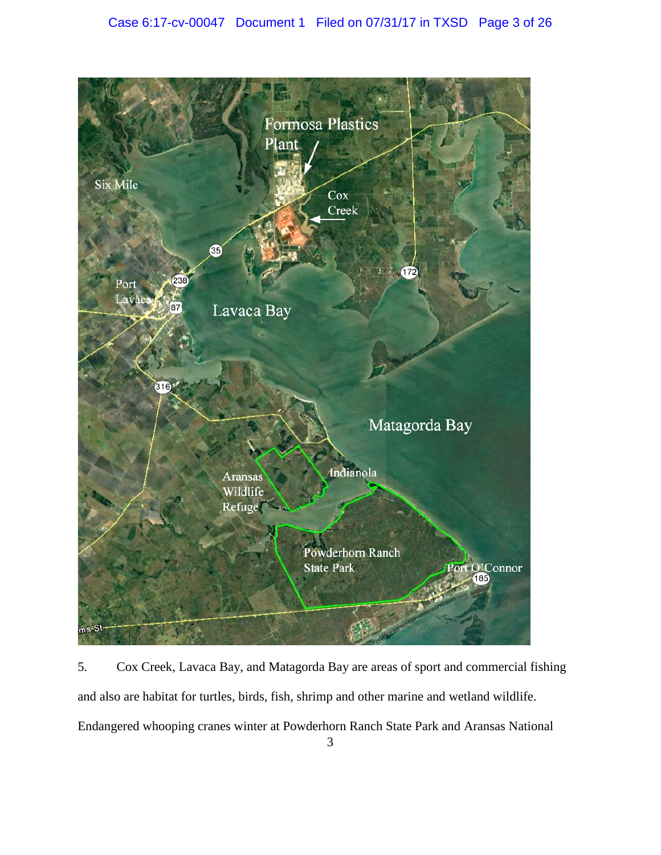

5. Cox Creek, Lavaca Bay, and Matagorda Bay are areas of sport and commercial fishing and also are habitat for turtles, birds, fish, shrimp and other marine and wetland wildlife. Endangered whooping cranes winter at Powderhorn Ranch State Park and Aransas National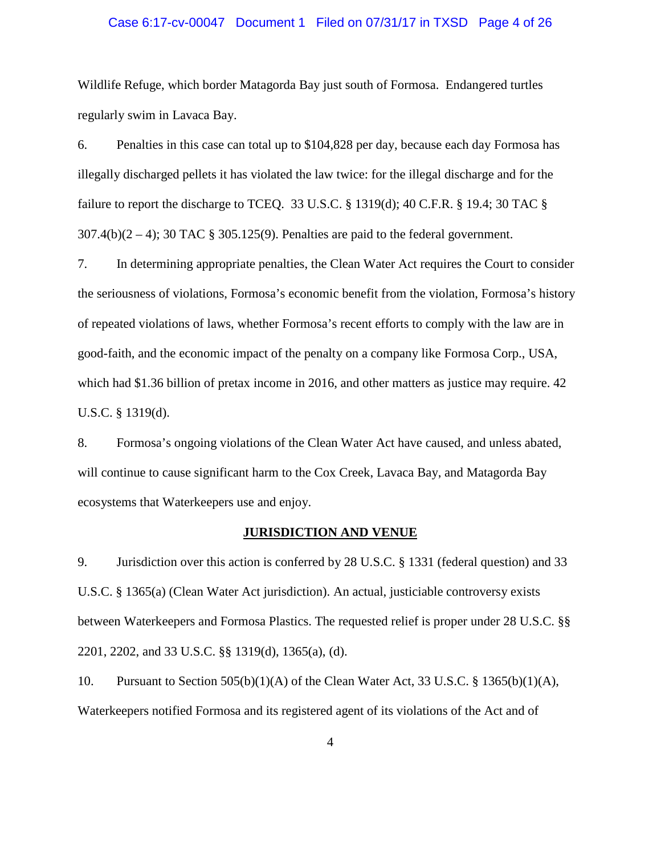### Case 6:17-cv-00047 Document 1 Filed on 07/31/17 in TXSD Page 4 of 26

Wildlife Refuge, which border Matagorda Bay just south of Formosa. Endangered turtles regularly swim in Lavaca Bay.

6. Penalties in this case can total up to \$104,828 per day, because each day Formosa has illegally discharged pellets it has violated the law twice: for the illegal discharge and for the failure to report the discharge to TCEQ. 33 U.S.C. § 1319(d); 40 C.F.R. § 19.4; 30 TAC §  $307.4(b)(2-4)$ ;  $30 \text{ TAC }$   $\S 305.125(9)$ . Penalties are paid to the federal government.

7. In determining appropriate penalties, the Clean Water Act requires the Court to consider the seriousness of violations, Formosa's economic benefit from the violation, Formosa's history of repeated violations of laws, whether Formosa's recent efforts to comply with the law are in good-faith, and the economic impact of the penalty on a company like Formosa Corp., USA, which had \$1.36 billion of pretax income in 2016, and other matters as justice may require. 42 U.S.C. § 1319(d).

8. Formosa's ongoing violations of the Clean Water Act have caused, and unless abated, will continue to cause significant harm to the Cox Creek, Lavaca Bay, and Matagorda Bay ecosystems that Waterkeepers use and enjoy.

### **JURISDICTION AND VENUE**

9. Jurisdiction over this action is conferred by 28 U.S.C. § 1331 (federal question) and 33 U.S.C. § 1365(a) (Clean Water Act jurisdiction). An actual, justiciable controversy exists between Waterkeepers and Formosa Plastics. The requested relief is proper under 28 U.S.C. §§ 2201, 2202, and 33 U.S.C. §§ 1319(d), 1365(a), (d).

10. Pursuant to Section 505(b)(1)(A) of the Clean Water Act, 33 U.S.C. § 1365(b)(1)(A), Waterkeepers notified Formosa and its registered agent of its violations of the Act and of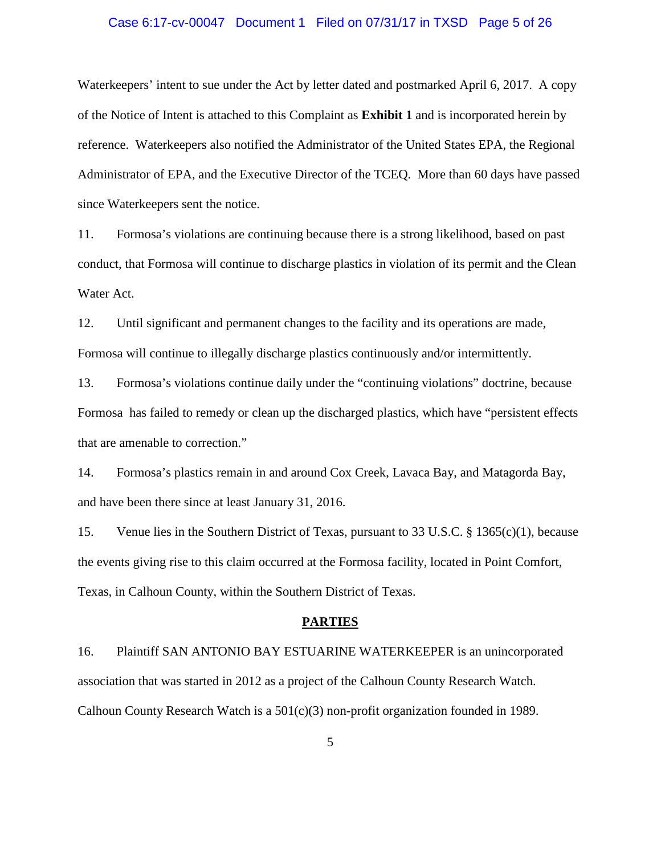### Case 6:17-cv-00047 Document 1 Filed on 07/31/17 in TXSD Page 5 of 26

Waterkeepers' intent to sue under the Act by letter dated and postmarked April 6, 2017. A copy of the Notice of Intent is attached to this Complaint as **Exhibit 1** and is incorporated herein by reference. Waterkeepers also notified the Administrator of the United States EPA, the Regional Administrator of EPA, and the Executive Director of the TCEQ. More than 60 days have passed since Waterkeepers sent the notice.

11. Formosa's violations are continuing because there is a strong likelihood, based on past conduct, that Formosa will continue to discharge plastics in violation of its permit and the Clean Water Act.

12. Until significant and permanent changes to the facility and its operations are made, Formosa will continue to illegally discharge plastics continuously and/or intermittently.

13. Formosa's violations continue daily under the "continuing violations" doctrine, because Formosa has failed to remedy or clean up the discharged plastics, which have "persistent effects that are amenable to correction."

14. Formosa's plastics remain in and around Cox Creek, Lavaca Bay, and Matagorda Bay, and have been there since at least January 31, 2016.

15. Venue lies in the Southern District of Texas, pursuant to 33 U.S.C. § 1365(c)(1), because the events giving rise to this claim occurred at the Formosa facility, located in Point Comfort, Texas, in Calhoun County, within the Southern District of Texas.

#### **PARTIES**

16. Plaintiff SAN ANTONIO BAY ESTUARINE WATERKEEPER is an unincorporated association that was started in 2012 as a project of the Calhoun County Research Watch. Calhoun County Research Watch is a  $501(c)(3)$  non-profit organization founded in 1989.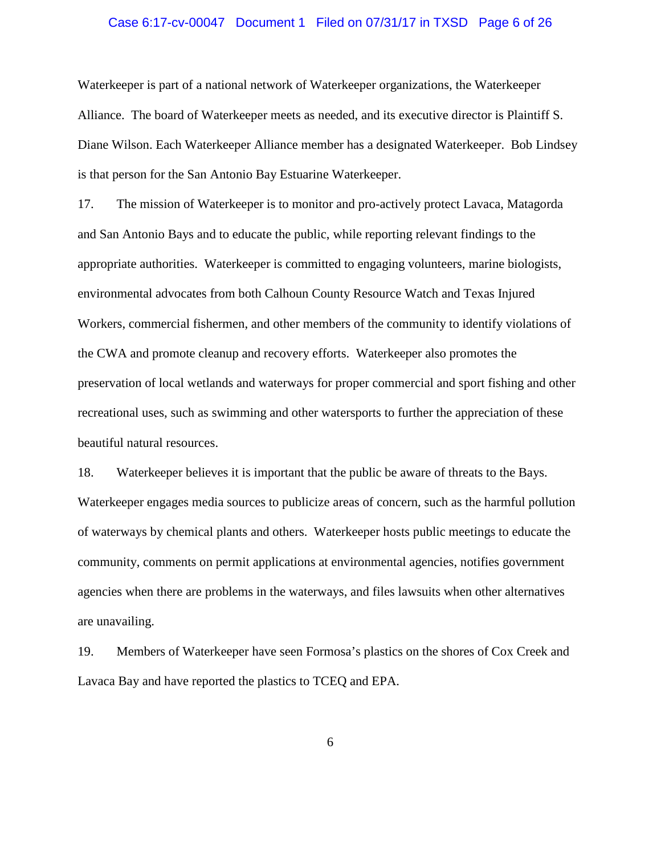### Case 6:17-cv-00047 Document 1 Filed on 07/31/17 in TXSD Page 6 of 26

Waterkeeper is part of a national network of Waterkeeper organizations, the Waterkeeper Alliance. The board of Waterkeeper meets as needed, and its executive director is Plaintiff S. Diane Wilson. Each Waterkeeper Alliance member has a designated Waterkeeper. Bob Lindsey is that person for the San Antonio Bay Estuarine Waterkeeper.

17. The mission of Waterkeeper is to monitor and pro-actively protect Lavaca, Matagorda and San Antonio Bays and to educate the public, while reporting relevant findings to the appropriate authorities. Waterkeeper is committed to engaging volunteers, marine biologists, environmental advocates from both Calhoun County Resource Watch and Texas Injured Workers, commercial fishermen, and other members of the community to identify violations of the CWA and promote cleanup and recovery efforts. Waterkeeper also promotes the preservation of local wetlands and waterways for proper commercial and sport fishing and other recreational uses, such as swimming and other watersports to further the appreciation of these beautiful natural resources.

18. Waterkeeper believes it is important that the public be aware of threats to the Bays. Waterkeeper engages media sources to publicize areas of concern, such as the harmful pollution of waterways by chemical plants and others. Waterkeeper hosts public meetings to educate the community, comments on permit applications at environmental agencies, notifies government agencies when there are problems in the waterways, and files lawsuits when other alternatives are unavailing.

19. Members of Waterkeeper have seen Formosa's plastics on the shores of Cox Creek and Lavaca Bay and have reported the plastics to TCEQ and EPA.

6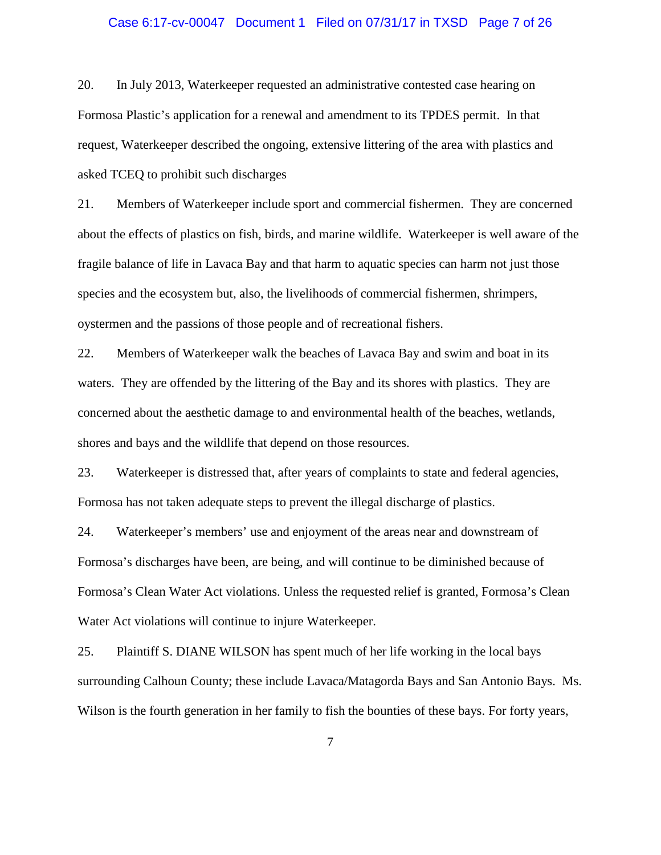### Case 6:17-cv-00047 Document 1 Filed on 07/31/17 in TXSD Page 7 of 26

20. In July 2013, Waterkeeper requested an administrative contested case hearing on Formosa Plastic's application for a renewal and amendment to its TPDES permit. In that request, Waterkeeper described the ongoing, extensive littering of the area with plastics and asked TCEQ to prohibit such discharges

21. Members of Waterkeeper include sport and commercial fishermen. They are concerned about the effects of plastics on fish, birds, and marine wildlife. Waterkeeper is well aware of the fragile balance of life in Lavaca Bay and that harm to aquatic species can harm not just those species and the ecosystem but, also, the livelihoods of commercial fishermen, shrimpers, oystermen and the passions of those people and of recreational fishers.

22. Members of Waterkeeper walk the beaches of Lavaca Bay and swim and boat in its waters. They are offended by the littering of the Bay and its shores with plastics. They are concerned about the aesthetic damage to and environmental health of the beaches, wetlands, shores and bays and the wildlife that depend on those resources.

23. Waterkeeper is distressed that, after years of complaints to state and federal agencies, Formosa has not taken adequate steps to prevent the illegal discharge of plastics.

24. Waterkeeper's members' use and enjoyment of the areas near and downstream of Formosa's discharges have been, are being, and will continue to be diminished because of Formosa's Clean Water Act violations. Unless the requested relief is granted, Formosa's Clean Water Act violations will continue to injure Waterkeeper.

25. Plaintiff S. DIANE WILSON has spent much of her life working in the local bays surrounding Calhoun County; these include Lavaca/Matagorda Bays and San Antonio Bays. Ms. Wilson is the fourth generation in her family to fish the bounties of these bays. For forty years,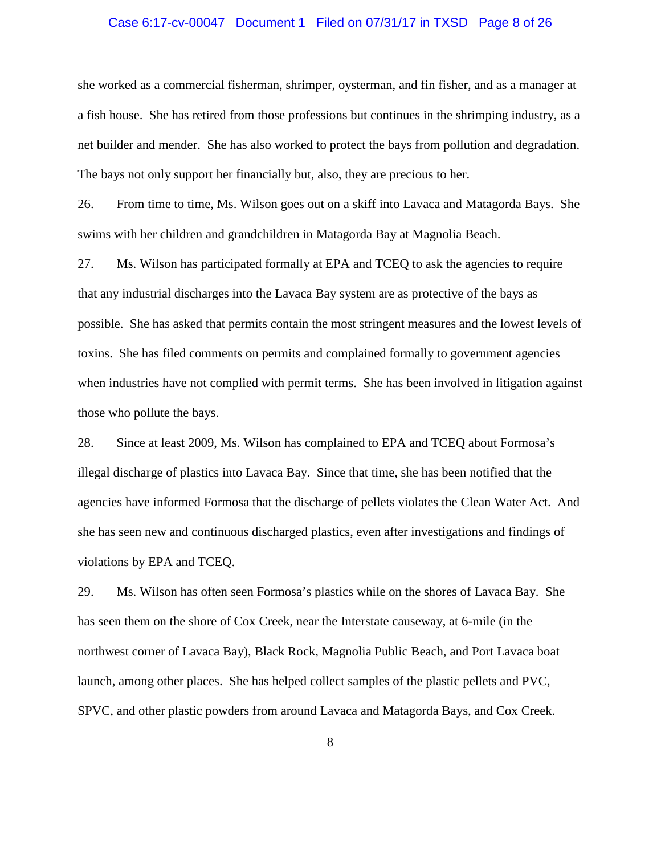### Case 6:17-cv-00047 Document 1 Filed on 07/31/17 in TXSD Page 8 of 26

she worked as a commercial fisherman, shrimper, oysterman, and fin fisher, and as a manager at a fish house. She has retired from those professions but continues in the shrimping industry, as a net builder and mender. She has also worked to protect the bays from pollution and degradation. The bays not only support her financially but, also, they are precious to her.

26. From time to time, Ms. Wilson goes out on a skiff into Lavaca and Matagorda Bays. She swims with her children and grandchildren in Matagorda Bay at Magnolia Beach.

27. Ms. Wilson has participated formally at EPA and TCEQ to ask the agencies to require that any industrial discharges into the Lavaca Bay system are as protective of the bays as possible. She has asked that permits contain the most stringent measures and the lowest levels of toxins. She has filed comments on permits and complained formally to government agencies when industries have not complied with permit terms. She has been involved in litigation against those who pollute the bays.

28. Since at least 2009, Ms. Wilson has complained to EPA and TCEQ about Formosa's illegal discharge of plastics into Lavaca Bay. Since that time, she has been notified that the agencies have informed Formosa that the discharge of pellets violates the Clean Water Act. And she has seen new and continuous discharged plastics, even after investigations and findings of violations by EPA and TCEQ.

29. Ms. Wilson has often seen Formosa's plastics while on the shores of Lavaca Bay. She has seen them on the shore of Cox Creek, near the Interstate causeway, at 6-mile (in the northwest corner of Lavaca Bay), Black Rock, Magnolia Public Beach, and Port Lavaca boat launch, among other places. She has helped collect samples of the plastic pellets and PVC, SPVC, and other plastic powders from around Lavaca and Matagorda Bays, and Cox Creek.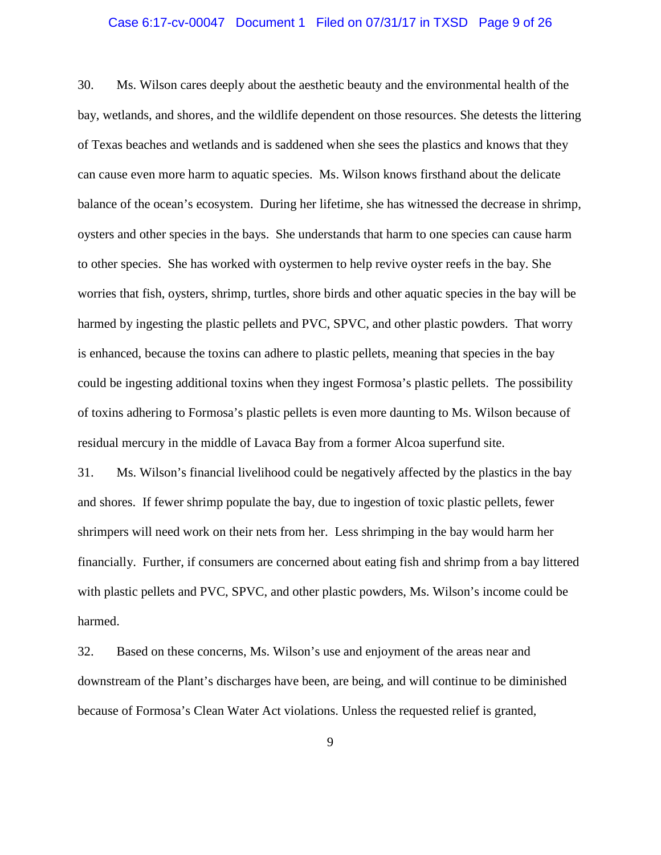### Case 6:17-cv-00047 Document 1 Filed on 07/31/17 in TXSD Page 9 of 26

30. Ms. Wilson cares deeply about the aesthetic beauty and the environmental health of the bay, wetlands, and shores, and the wildlife dependent on those resources. She detests the littering of Texas beaches and wetlands and is saddened when she sees the plastics and knows that they can cause even more harm to aquatic species. Ms. Wilson knows firsthand about the delicate balance of the ocean's ecosystem. During her lifetime, she has witnessed the decrease in shrimp, oysters and other species in the bays. She understands that harm to one species can cause harm to other species. She has worked with oystermen to help revive oyster reefs in the bay. She worries that fish, oysters, shrimp, turtles, shore birds and other aquatic species in the bay will be harmed by ingesting the plastic pellets and PVC, SPVC, and other plastic powders. That worry is enhanced, because the toxins can adhere to plastic pellets, meaning that species in the bay could be ingesting additional toxins when they ingest Formosa's plastic pellets. The possibility of toxins adhering to Formosa's plastic pellets is even more daunting to Ms. Wilson because of residual mercury in the middle of Lavaca Bay from a former Alcoa superfund site.

31. Ms. Wilson's financial livelihood could be negatively affected by the plastics in the bay and shores. If fewer shrimp populate the bay, due to ingestion of toxic plastic pellets, fewer shrimpers will need work on their nets from her. Less shrimping in the bay would harm her financially. Further, if consumers are concerned about eating fish and shrimp from a bay littered with plastic pellets and PVC, SPVC, and other plastic powders, Ms. Wilson's income could be harmed.

32. Based on these concerns, Ms. Wilson's use and enjoyment of the areas near and downstream of the Plant's discharges have been, are being, and will continue to be diminished because of Formosa's Clean Water Act violations. Unless the requested relief is granted,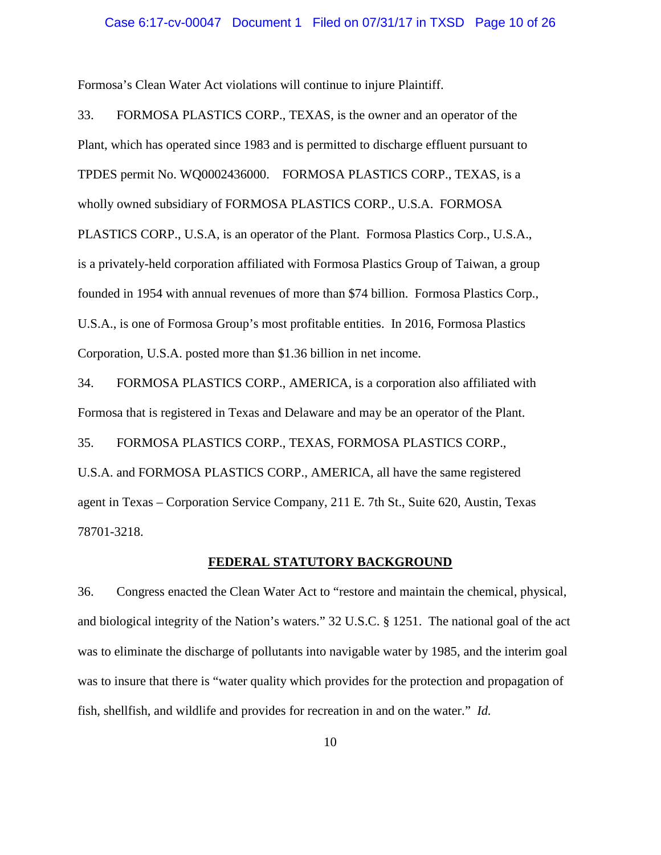### Case 6:17-cv-00047 Document 1 Filed on 07/31/17 in TXSD Page 10 of 26

Formosa's Clean Water Act violations will continue to injure Plaintiff.

33. FORMOSA PLASTICS CORP., TEXAS, is the owner and an operator of the Plant, which has operated since 1983 and is permitted to discharge effluent pursuant to TPDES permit No. WQ0002436000. FORMOSA PLASTICS CORP., TEXAS, is a wholly owned subsidiary of FORMOSA PLASTICS CORP., U.S.A. FORMOSA PLASTICS CORP., U.S.A, is an operator of the Plant. Formosa Plastics Corp., U.S.A., is a privately-held corporation affiliated with Formosa Plastics Group of Taiwan, a group founded in 1954 with annual revenues of more than \$74 billion. Formosa Plastics Corp., U.S.A., is one of Formosa Group's most profitable entities. In 2016, Formosa Plastics Corporation, U.S.A. posted more than \$1.36 billion in net income.

34. FORMOSA PLASTICS CORP., AMERICA, is a corporation also affiliated with Formosa that is registered in Texas and Delaware and may be an operator of the Plant.

35. FORMOSA PLASTICS CORP., TEXAS, FORMOSA PLASTICS CORP.,

U.S.A. and FORMOSA PLASTICS CORP., AMERICA, all have the same registered agent in Texas – Corporation Service Company, 211 E. 7th St., Suite 620, Austin, Texas 78701-3218.

### **FEDERAL STATUTORY BACKGROUND**

36. Congress enacted the Clean Water Act to "restore and maintain the chemical, physical, and biological integrity of the Nation's waters." 32 U.S.C. § 1251. The national goal of the act was to eliminate the discharge of pollutants into navigable water by 1985, and the interim goal was to insure that there is "water quality which provides for the protection and propagation of fish, shellfish, and wildlife and provides for recreation in and on the water." *Id.*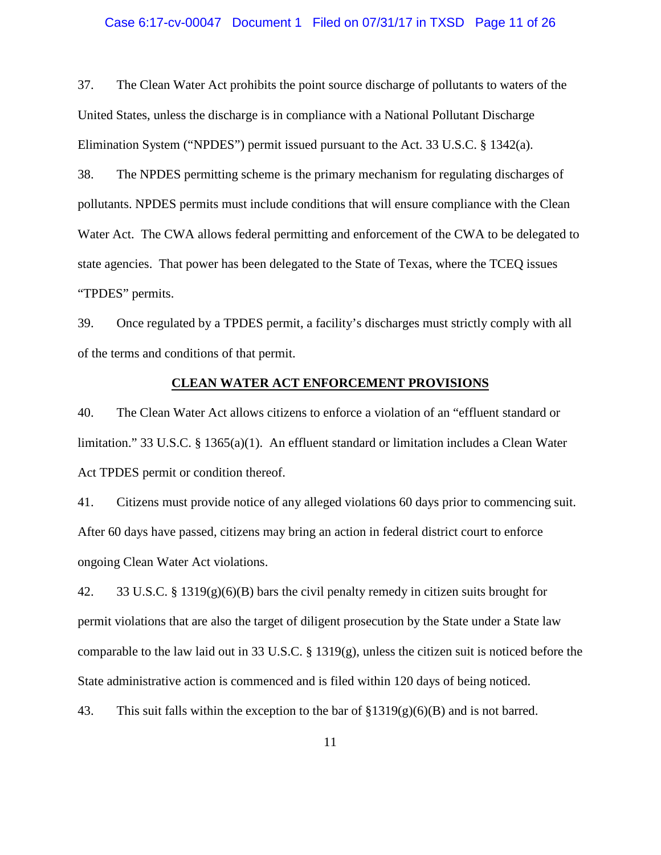### Case 6:17-cv-00047 Document 1 Filed on 07/31/17 in TXSD Page 11 of 26

37. The Clean Water Act prohibits the point source discharge of pollutants to waters of the United States, unless the discharge is in compliance with a National Pollutant Discharge Elimination System ("NPDES") permit issued pursuant to the Act. 33 U.S.C. § 1342(a).

38. The NPDES permitting scheme is the primary mechanism for regulating discharges of pollutants. NPDES permits must include conditions that will ensure compliance with the Clean Water Act. The CWA allows federal permitting and enforcement of the CWA to be delegated to state agencies. That power has been delegated to the State of Texas, where the TCEQ issues "TPDES" permits.

39. Once regulated by a TPDES permit, a facility's discharges must strictly comply with all of the terms and conditions of that permit.

### **CLEAN WATER ACT ENFORCEMENT PROVISIONS**

40. The Clean Water Act allows citizens to enforce a violation of an "effluent standard or limitation." 33 U.S.C. § 1365(a)(1). An effluent standard or limitation includes a Clean Water Act TPDES permit or condition thereof.

41. Citizens must provide notice of any alleged violations 60 days prior to commencing suit. After 60 days have passed, citizens may bring an action in federal district court to enforce ongoing Clean Water Act violations.

42. 33 U.S.C. § 1319(g)(6)(B) bars the civil penalty remedy in citizen suits brought for permit violations that are also the target of diligent prosecution by the State under a State law comparable to the law laid out in 33 U.S.C. § 1319(g), unless the citizen suit is noticed before the State administrative action is commenced and is filed within 120 days of being noticed.

43. This suit falls within the exception to the bar of §1319(g)(6)(B) and is not barred.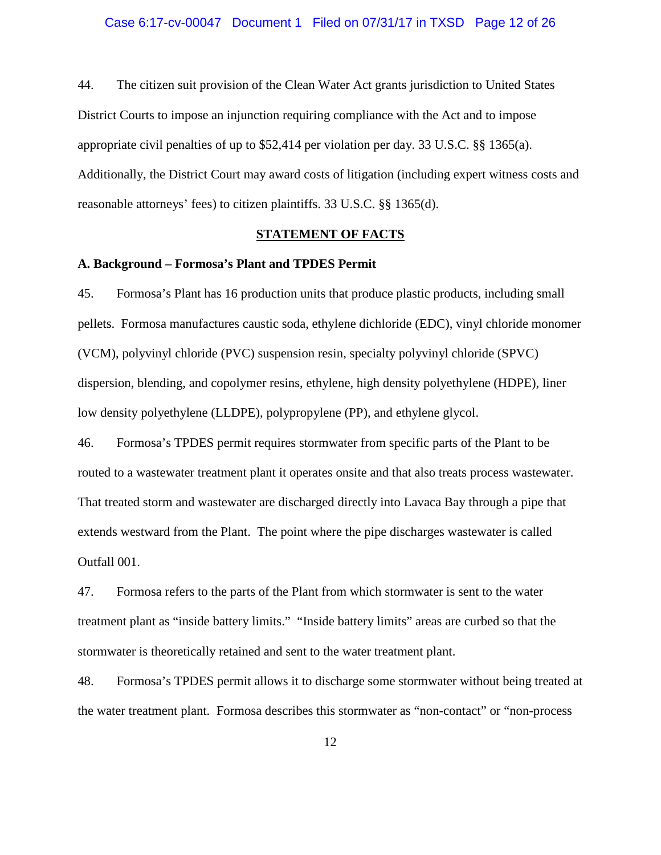44. The citizen suit provision of the Clean Water Act grants jurisdiction to United States District Courts to impose an injunction requiring compliance with the Act and to impose appropriate civil penalties of up to \$52,414 per violation per day. 33 U.S.C. §§ 1365(a). Additionally, the District Court may award costs of litigation (including expert witness costs and reasonable attorneys' fees) to citizen plaintiffs. 33 U.S.C. §§ 1365(d).

### **STATEMENT OF FACTS**

### **A. Background – Formosa's Plant and TPDES Permit**

45. Formosa's Plant has 16 production units that produce plastic products, including small pellets. Formosa manufactures caustic soda, ethylene dichloride (EDC), vinyl chloride monomer (VCM), polyvinyl chloride (PVC) suspension resin, specialty polyvinyl chloride (SPVC) dispersion, blending, and copolymer resins, ethylene, high density polyethylene (HDPE), liner low density polyethylene (LLDPE), polypropylene (PP), and ethylene glycol.

46. Formosa's TPDES permit requires stormwater from specific parts of the Plant to be routed to a wastewater treatment plant it operates onsite and that also treats process wastewater. That treated storm and wastewater are discharged directly into Lavaca Bay through a pipe that extends westward from the Plant. The point where the pipe discharges wastewater is called Outfall 001.

47. Formosa refers to the parts of the Plant from which stormwater is sent to the water treatment plant as "inside battery limits." "Inside battery limits" areas are curbed so that the stormwater is theoretically retained and sent to the water treatment plant.

48. Formosa's TPDES permit allows it to discharge some stormwater without being treated at the water treatment plant. Formosa describes this stormwater as "non-contact" or "non-process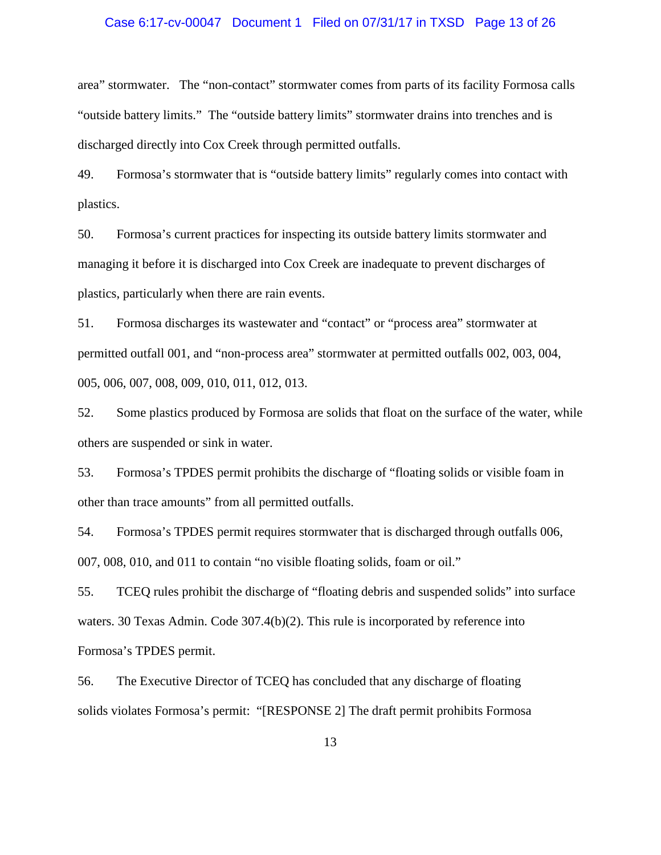### Case 6:17-cv-00047 Document 1 Filed on 07/31/17 in TXSD Page 13 of 26

area" stormwater. The "non-contact" stormwater comes from parts of its facility Formosa calls "outside battery limits." The "outside battery limits" stormwater drains into trenches and is discharged directly into Cox Creek through permitted outfalls.

49. Formosa's stormwater that is "outside battery limits" regularly comes into contact with plastics.

50. Formosa's current practices for inspecting its outside battery limits stormwater and managing it before it is discharged into Cox Creek are inadequate to prevent discharges of plastics, particularly when there are rain events.

51. Formosa discharges its wastewater and "contact" or "process area" stormwater at permitted outfall 001, and "non-process area" stormwater at permitted outfalls 002, 003, 004, 005, 006, 007, 008, 009, 010, 011, 012, 013.

52. Some plastics produced by Formosa are solids that float on the surface of the water, while others are suspended or sink in water.

53. Formosa's TPDES permit prohibits the discharge of "floating solids or visible foam in other than trace amounts" from all permitted outfalls.

54. Formosa's TPDES permit requires stormwater that is discharged through outfalls 006, 007, 008, 010, and 011 to contain "no visible floating solids, foam or oil."

55. TCEQ rules prohibit the discharge of "floating debris and suspended solids" into surface waters. 30 Texas Admin. Code 307.4(b)(2). This rule is incorporated by reference into Formosa's TPDES permit.

56. The Executive Director of TCEQ has concluded that any discharge of floating solids violates Formosa's permit: "[RESPONSE 2] The draft permit prohibits Formosa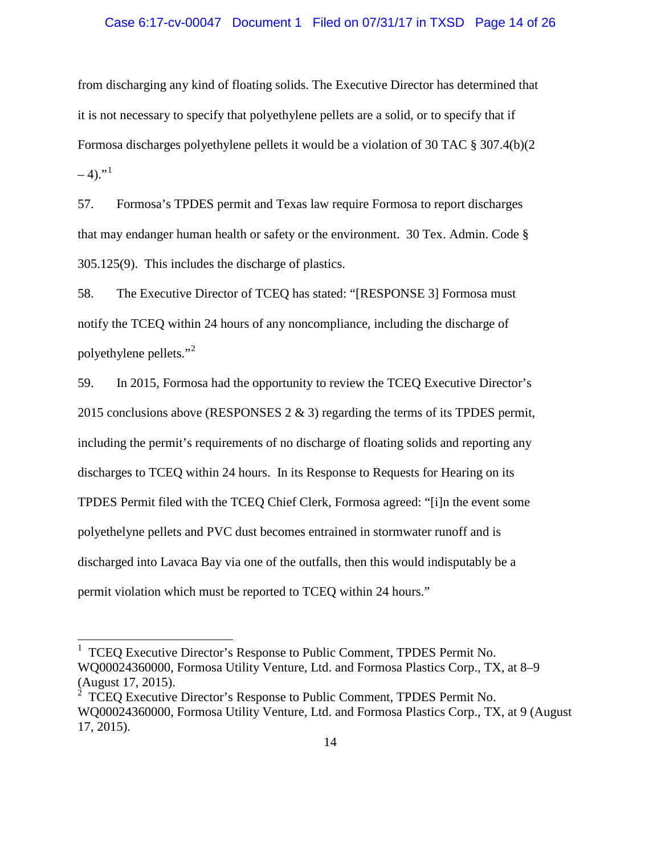### Case 6:17-cv-00047 Document 1 Filed on 07/31/17 in TXSD Page 14 of 26

from discharging any kind of floating solids. The Executive Director has determined that it is not necessary to specify that polyethylene pellets are a solid, or to specify that if Formosa discharges polyethylene pellets it would be a violation of 30 TAC § 307.4(b)(2  $-4$ )."

57. Formosa's TPDES permit and Texas law require Formosa to report discharges that may endanger human health or safety or the environment. 30 Tex. Admin. Code § 305.125(9). This includes the discharge of plastics.

58. The Executive Director of TCEQ has stated: "[RESPONSE 3] Formosa must notify the TCEQ within 24 hours of any noncompliance, including the discharge of polyethylene pellets."<sup>2</sup>

59. In 2015, Formosa had the opportunity to review the TCEQ Executive Director's 2015 conclusions above (RESPONSES 2  $\&$  3) regarding the terms of its TPDES permit, including the permit's requirements of no discharge of floating solids and reporting any discharges to TCEQ within 24 hours. In its Response to Requests for Hearing on its TPDES Permit filed with the TCEQ Chief Clerk, Formosa agreed: "[i]n the event some polyethelyne pellets and PVC dust becomes entrained in stormwater runoff and is discharged into Lavaca Bay via one of the outfalls, then this would indisputably be a permit violation which must be reported to TCEQ within 24 hours."

<sup>&</sup>lt;sup>1</sup> TCEQ Executive Director's Response to Public Comment, TPDES Permit No. WQ00024360000, Formosa Utility Venture, Ltd. and Formosa Plastics Corp., TX, at 8–9 (August 17, 2015).  $\overline{1}$ 

 $2^2$  TCEQ Executive Director's Response to Public Comment, TPDES Permit No. WQ00024360000, Formosa Utility Venture, Ltd. and Formosa Plastics Corp., TX, at 9 (August 17, 2015).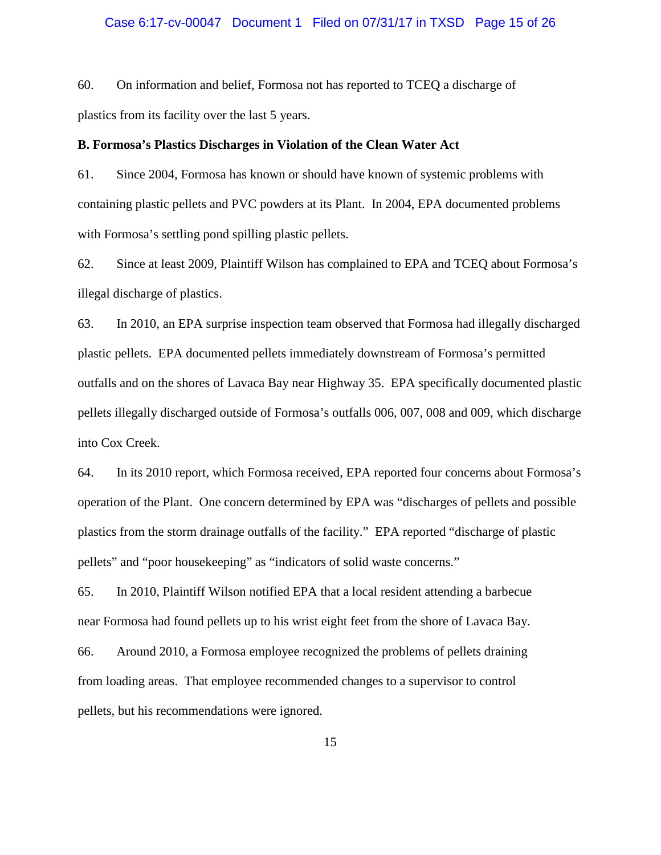### Case 6:17-cv-00047 Document 1 Filed on 07/31/17 in TXSD Page 15 of 26

60. On information and belief, Formosa not has reported to TCEQ a discharge of plastics from its facility over the last 5 years.

### **B. Formosa's Plastics Discharges in Violation of the Clean Water Act**

61. Since 2004, Formosa has known or should have known of systemic problems with containing plastic pellets and PVC powders at its Plant. In 2004, EPA documented problems with Formosa's settling pond spilling plastic pellets.

62. Since at least 2009, Plaintiff Wilson has complained to EPA and TCEQ about Formosa's illegal discharge of plastics.

63. In 2010, an EPA surprise inspection team observed that Formosa had illegally discharged plastic pellets. EPA documented pellets immediately downstream of Formosa's permitted outfalls and on the shores of Lavaca Bay near Highway 35. EPA specifically documented plastic pellets illegally discharged outside of Formosa's outfalls 006, 007, 008 and 009, which discharge into Cox Creek.

64. In its 2010 report, which Formosa received, EPA reported four concerns about Formosa's operation of the Plant. One concern determined by EPA was "discharges of pellets and possible plastics from the storm drainage outfalls of the facility." EPA reported "discharge of plastic pellets" and "poor housekeeping" as "indicators of solid waste concerns."

65. In 2010, Plaintiff Wilson notified EPA that a local resident attending a barbecue near Formosa had found pellets up to his wrist eight feet from the shore of Lavaca Bay.

66. Around 2010, a Formosa employee recognized the problems of pellets draining from loading areas. That employee recommended changes to a supervisor to control pellets, but his recommendations were ignored.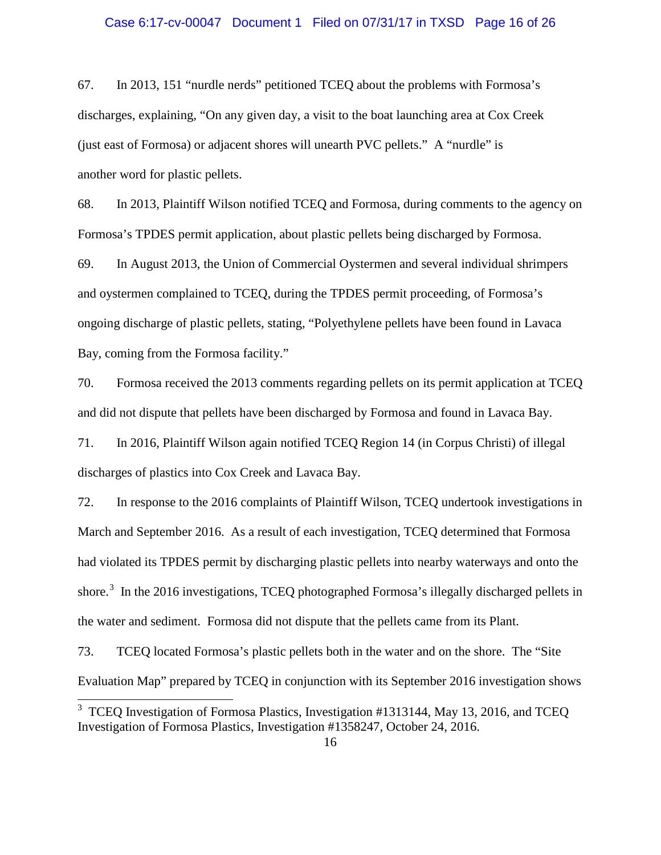### Case 6:17-cv-00047 Document 1 Filed on 07/31/17 in TXSD Page 16 of 26

67. In 2013, 151 "nurdle nerds" petitioned TCEQ about the problems with Formosa's discharges, explaining, "On any given day, a visit to the boat launching area at Cox Creek (just east of Formosa) or adjacent shores will unearth PVC pellets." A "nurdle" is another word for plastic pellets.

68. In 2013, Plaintiff Wilson notified TCEQ and Formosa, during comments to the agency on Formosa's TPDES permit application, about plastic pellets being discharged by Formosa.

69. In August 2013, the Union of Commercial Oystermen and several individual shrimpers and oystermen complained to TCEQ, during the TPDES permit proceeding, of Formosa's ongoing discharge of plastic pellets, stating, "Polyethylene pellets have been found in Lavaca Bay, coming from the Formosa facility."

70. Formosa received the 2013 comments regarding pellets on its permit application at TCEQ and did not dispute that pellets have been discharged by Formosa and found in Lavaca Bay.

71. In 2016, Plaintiff Wilson again notified TCEQ Region 14 (in Corpus Christi) of illegal discharges of plastics into Cox Creek and Lavaca Bay.

72. In response to the 2016 complaints of Plaintiff Wilson, TCEQ undertook investigations in March and September 2016. As a result of each investigation, TCEQ determined that Formosa had violated its TPDES permit by discharging plastic pellets into nearby waterways and onto the shore.<sup>3</sup> In the 2016 investigations, TCEQ photographed Formosa's illegally discharged pellets in the water and sediment. Formosa did not dispute that the pellets came from its Plant.

73. TCEQ located Formosa's plastic pellets both in the water and on the shore. The "Site Evaluation Map" prepared by TCEQ in conjunction with its September 2016 investigation shows

<sup>&</sup>lt;sup>3</sup> TCEQ Investigation of Formosa Plastics, Investigation #1313144, May 13, 2016, and TCEQ Investigation of Formosa Plastics, Investigation #1358247, October 24, 2016.  $\overline{\phantom{a}}$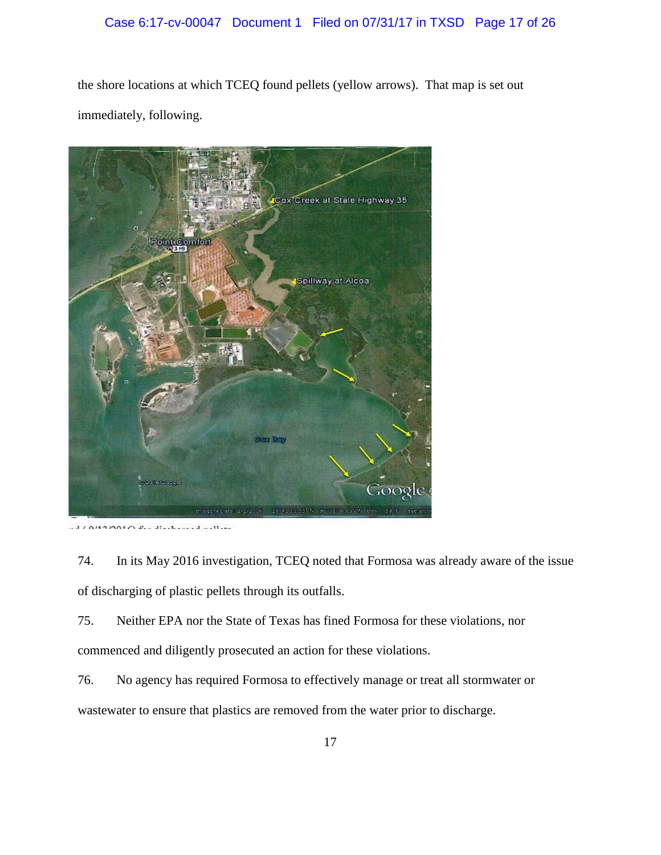# Case 6:17-cv-00047 Document 1 Filed on 07/31/17 in TXSD Page 17 of 26

the shore locations at which TCEQ found pellets (yellow arrows). That map is set out immediately, following.



 $0.012001000$ 

74. In its May 2016 investigation, TCEQ noted that Formosa was already aware of the issue of discharging of plastic pellets through its outfalls.

75. Neither EPA nor the State of Texas has fined Formosa for these violations, nor commenced and diligently prosecuted an action for these violations.

76. No agency has required Formosa to effectively manage or treat all stormwater or wastewater to ensure that plastics are removed from the water prior to discharge.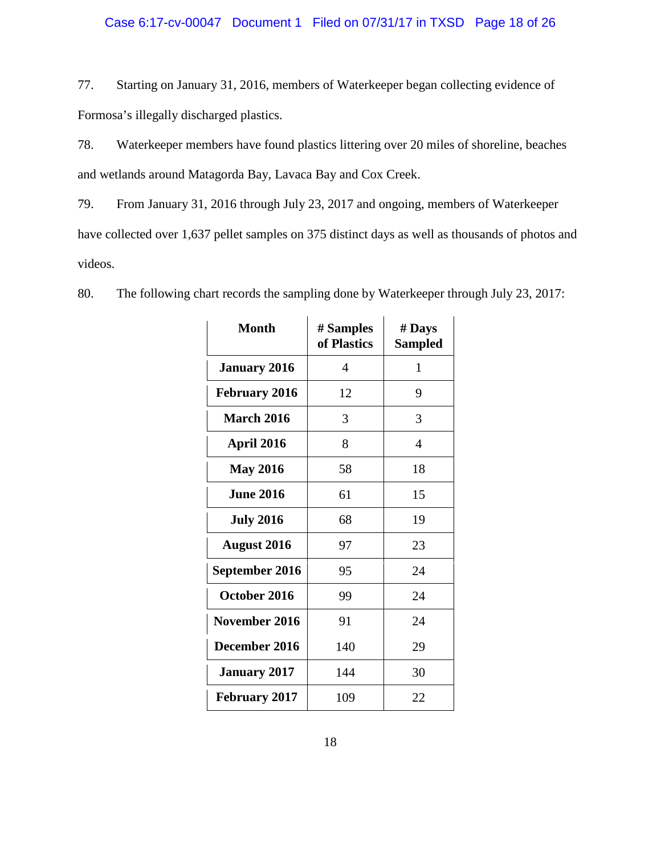## Case 6:17-cv-00047 Document 1 Filed on 07/31/17 in TXSD Page 18 of 26

77. Starting on January 31, 2016, members of Waterkeeper began collecting evidence of Formosa's illegally discharged plastics.

78. Waterkeeper members have found plastics littering over 20 miles of shoreline, beaches and wetlands around Matagorda Bay, Lavaca Bay and Cox Creek.

79. From January 31, 2016 through July 23, 2017 and ongoing, members of Waterkeeper have collected over 1,637 pellet samples on 375 distinct days as well as thousands of photos and videos.

| <b>Month</b>         | # Samples<br>of Plastics | $#$ Days<br>Sampled |
|----------------------|--------------------------|---------------------|
| <b>January 2016</b>  | 4                        | 1                   |
| <b>February 2016</b> | 12                       | 9                   |
| <b>March 2016</b>    | 3                        | 3                   |
| April 2016           | 8                        | $\overline{4}$      |
| <b>May 2016</b>      | 58                       | 18                  |
| <b>June 2016</b>     | 61                       | 15                  |
| <b>July 2016</b>     | 68                       | 19                  |
| <b>August 2016</b>   | 97                       | 23                  |
| September 2016       | 95                       | 24                  |
| October 2016         | 99                       | 24                  |
| November 2016        | 91                       | 24                  |
| December 2016        | 140                      | 29                  |
| <b>January 2017</b>  | 144                      | 30                  |
| February 2017        | 109                      | 22                  |

80. The following chart records the sampling done by Waterkeeper through July 23, 2017: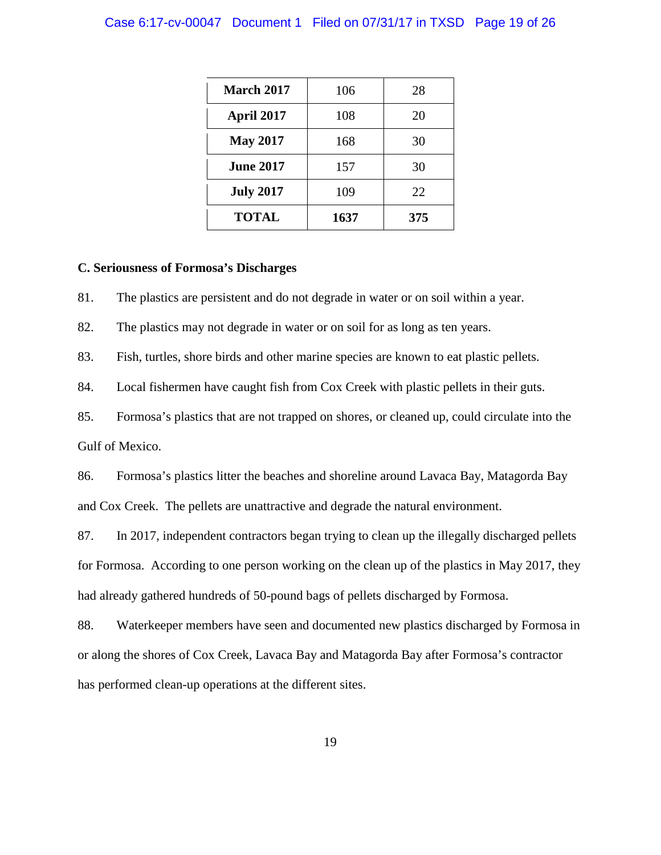### Case 6:17-cv-00047 Document 1 Filed on 07/31/17 in TXSD Page 19 of 26

| <b>March 2017</b> | 106  | 28  |
|-------------------|------|-----|
| April 2017        | 108  | 20  |
| <b>May 2017</b>   | 168  | 30  |
| <b>June 2017</b>  | 157  | 30  |
| <b>July 2017</b>  | 109  | 22  |
| <b>TOTAL</b>      | 1637 | 375 |

### **C. Seriousness of Formosa's Discharges**

81. The plastics are persistent and do not degrade in water or on soil within a year.

82. The plastics may not degrade in water or on soil for as long as ten years.

83. Fish, turtles, shore birds and other marine species are known to eat plastic pellets.

84. Local fishermen have caught fish from Cox Creek with plastic pellets in their guts.

85. Formosa's plastics that are not trapped on shores, or cleaned up, could circulate into the Gulf of Mexico.

86. Formosa's plastics litter the beaches and shoreline around Lavaca Bay, Matagorda Bay and Cox Creek. The pellets are unattractive and degrade the natural environment.

87. In 2017, independent contractors began trying to clean up the illegally discharged pellets for Formosa. According to one person working on the clean up of the plastics in May 2017, they had already gathered hundreds of 50-pound bags of pellets discharged by Formosa.

88. Waterkeeper members have seen and documented new plastics discharged by Formosa in or along the shores of Cox Creek, Lavaca Bay and Matagorda Bay after Formosa's contractor has performed clean-up operations at the different sites.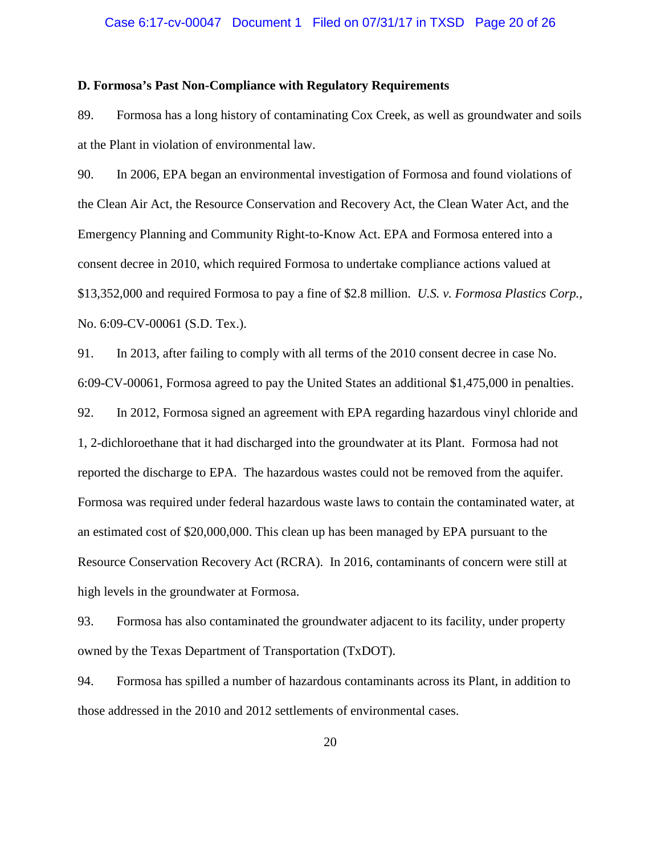### Case 6:17-cv-00047 Document 1 Filed on 07/31/17 in TXSD Page 20 of 26

### **D. Formosa's Past Non-Compliance with Regulatory Requirements**

89. Formosa has a long history of contaminating Cox Creek, as well as groundwater and soils at the Plant in violation of environmental law.

90. In 2006, EPA began an environmental investigation of Formosa and found violations of the Clean Air Act, the Resource Conservation and Recovery Act, the Clean Water Act, and the Emergency Planning and Community Right-to-Know Act. EPA and Formosa entered into a consent decree in 2010, which required Formosa to undertake compliance actions valued at \$13,352,000 and required Formosa to pay a fine of \$2.8 million. *U.S. v. Formosa Plastics Corp.,*  No. 6:09-CV-00061 (S.D. Tex.).

91. In 2013, after failing to comply with all terms of the 2010 consent decree in case No. 6:09-CV-00061, Formosa agreed to pay the United States an additional \$1,475,000 in penalties.

92. In 2012, Formosa signed an agreement with EPA regarding hazardous vinyl chloride and 1, 2-dichloroethane that it had discharged into the groundwater at its Plant. Formosa had not reported the discharge to EPA. The hazardous wastes could not be removed from the aquifer. Formosa was required under federal hazardous waste laws to contain the contaminated water, at an estimated cost of \$20,000,000. This clean up has been managed by EPA pursuant to the Resource Conservation Recovery Act (RCRA). In 2016, contaminants of concern were still at high levels in the groundwater at Formosa.

93. Formosa has also contaminated the groundwater adjacent to its facility, under property owned by the Texas Department of Transportation (TxDOT).

94. Formosa has spilled a number of hazardous contaminants across its Plant, in addition to those addressed in the 2010 and 2012 settlements of environmental cases.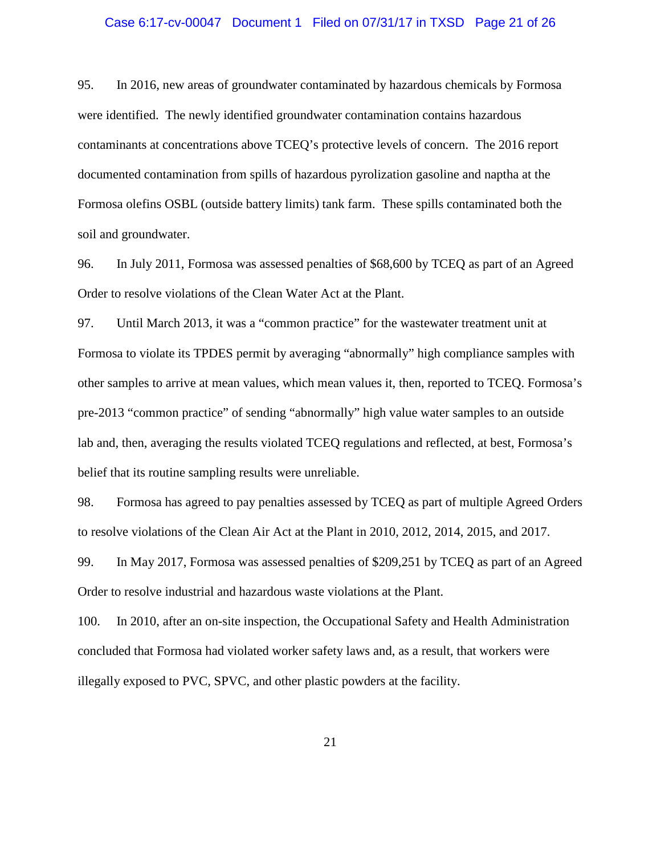### Case 6:17-cv-00047 Document 1 Filed on 07/31/17 in TXSD Page 21 of 26

95. In 2016, new areas of groundwater contaminated by hazardous chemicals by Formosa were identified. The newly identified groundwater contamination contains hazardous contaminants at concentrations above TCEQ's protective levels of concern. The 2016 report documented contamination from spills of hazardous pyrolization gasoline and naptha at the Formosa olefins OSBL (outside battery limits) tank farm. These spills contaminated both the soil and groundwater.

96. In July 2011, Formosa was assessed penalties of \$68,600 by TCEQ as part of an Agreed Order to resolve violations of the Clean Water Act at the Plant.

97. Until March 2013, it was a "common practice" for the wastewater treatment unit at Formosa to violate its TPDES permit by averaging "abnormally" high compliance samples with other samples to arrive at mean values, which mean values it, then, reported to TCEQ. Formosa's pre-2013 "common practice" of sending "abnormally" high value water samples to an outside lab and, then, averaging the results violated TCEQ regulations and reflected, at best, Formosa's belief that its routine sampling results were unreliable.

98. Formosa has agreed to pay penalties assessed by TCEQ as part of multiple Agreed Orders to resolve violations of the Clean Air Act at the Plant in 2010, 2012, 2014, 2015, and 2017.

99. In May 2017, Formosa was assessed penalties of \$209,251 by TCEQ as part of an Agreed Order to resolve industrial and hazardous waste violations at the Plant.

100. In 2010, after an on-site inspection, the Occupational Safety and Health Administration concluded that Formosa had violated worker safety laws and, as a result, that workers were illegally exposed to PVC, SPVC, and other plastic powders at the facility.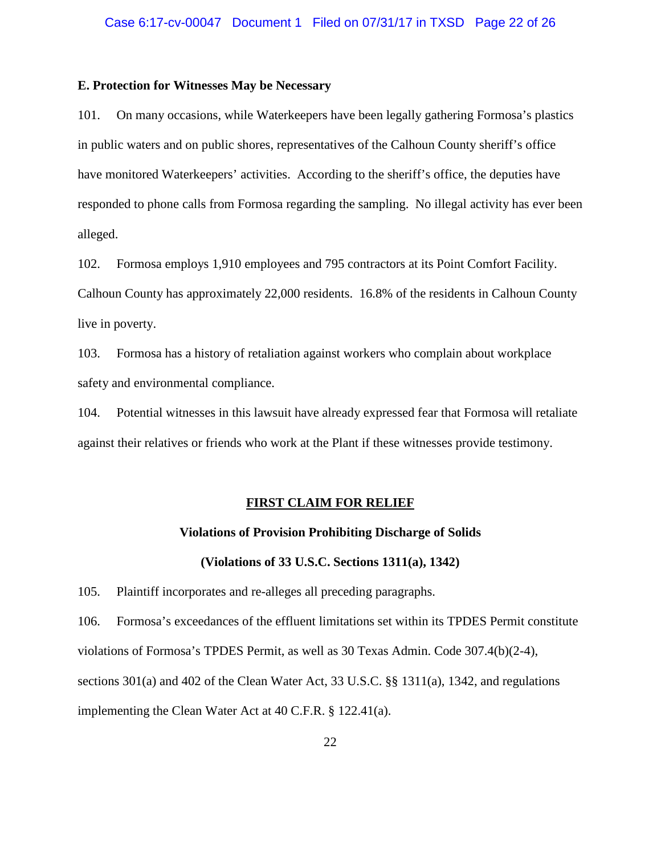### **E. Protection for Witnesses May be Necessary**

101. On many occasions, while Waterkeepers have been legally gathering Formosa's plastics in public waters and on public shores, representatives of the Calhoun County sheriff's office have monitored Waterkeepers' activities. According to the sheriff's office, the deputies have responded to phone calls from Formosa regarding the sampling. No illegal activity has ever been alleged.

102. Formosa employs 1,910 employees and 795 contractors at its Point Comfort Facility. Calhoun County has approximately 22,000 residents. 16.8% of the residents in Calhoun County live in poverty.

103. Formosa has a history of retaliation against workers who complain about workplace safety and environmental compliance.

104. Potential witnesses in this lawsuit have already expressed fear that Formosa will retaliate against their relatives or friends who work at the Plant if these witnesses provide testimony.

### **FIRST CLAIM FOR RELIEF**

### **Violations of Provision Prohibiting Discharge of Solids**

### **(Violations of 33 U.S.C. Sections 1311(a), 1342)**

105. Plaintiff incorporates and re-alleges all preceding paragraphs.

106. Formosa's exceedances of the effluent limitations set within its TPDES Permit constitute violations of Formosa's TPDES Permit, as well as 30 Texas Admin. Code 307.4(b)(2-4), sections 301(a) and 402 of the Clean Water Act, 33 U.S.C. §§ 1311(a), 1342, and regulations implementing the Clean Water Act at 40 C.F.R. § 122.41(a).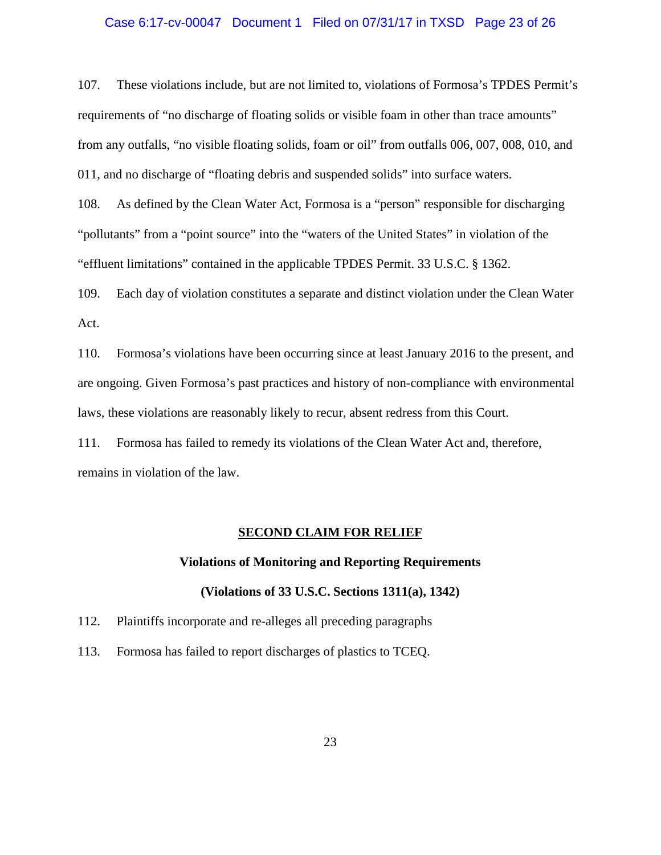### Case 6:17-cv-00047 Document 1 Filed on 07/31/17 in TXSD Page 23 of 26

107. These violations include, but are not limited to, violations of Formosa's TPDES Permit's requirements of "no discharge of floating solids or visible foam in other than trace amounts" from any outfalls, "no visible floating solids, foam or oil" from outfalls 006, 007, 008, 010, and 011, and no discharge of "floating debris and suspended solids" into surface waters.

108. As defined by the Clean Water Act, Formosa is a "person" responsible for discharging "pollutants" from a "point source" into the "waters of the United States" in violation of the "effluent limitations" contained in the applicable TPDES Permit. 33 U.S.C. § 1362.

109. Each day of violation constitutes a separate and distinct violation under the Clean Water Act.

110. Formosa's violations have been occurring since at least January 2016 to the present, and are ongoing. Given Formosa's past practices and history of non-compliance with environmental laws, these violations are reasonably likely to recur, absent redress from this Court.

111. Formosa has failed to remedy its violations of the Clean Water Act and, therefore, remains in violation of the law.

#### **SECOND CLAIM FOR RELIEF**

# **Violations of Monitoring and Reporting Requirements**

### **(Violations of 33 U.S.C. Sections 1311(a), 1342)**

112. Plaintiffs incorporate and re-alleges all preceding paragraphs

113. Formosa has failed to report discharges of plastics to TCEQ.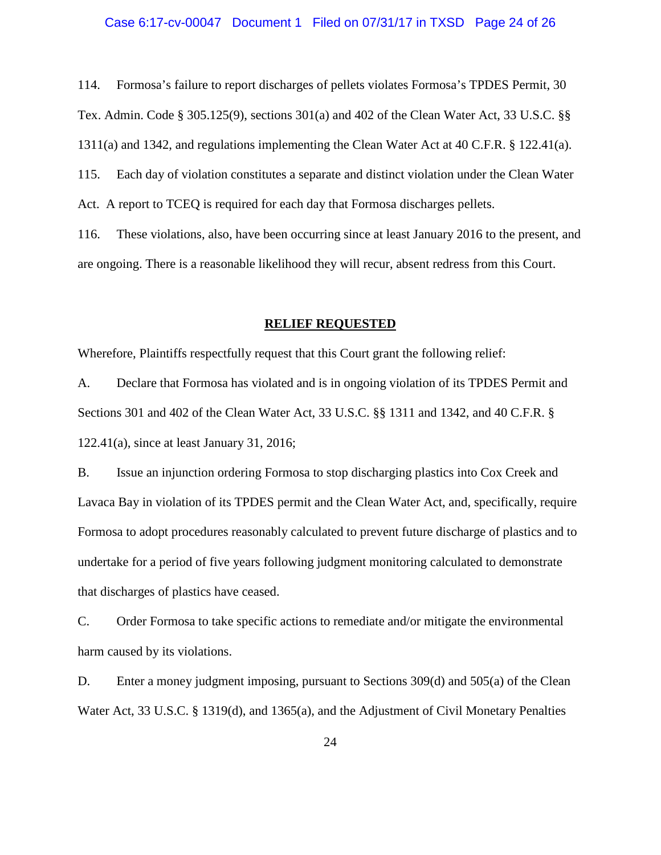### Case 6:17-cv-00047 Document 1 Filed on 07/31/17 in TXSD Page 24 of 26

114. Formosa's failure to report discharges of pellets violates Formosa's TPDES Permit, 30 Tex. Admin. Code § 305.125(9), sections 301(a) and 402 of the Clean Water Act, 33 U.S.C. §§ 1311(a) and 1342, and regulations implementing the Clean Water Act at 40 C.F.R. § 122.41(a). 115. Each day of violation constitutes a separate and distinct violation under the Clean Water Act. A report to TCEQ is required for each day that Formosa discharges pellets.

116. These violations, also, have been occurring since at least January 2016 to the present, and are ongoing. There is a reasonable likelihood they will recur, absent redress from this Court.

#### **RELIEF REQUESTED**

Wherefore, Plaintiffs respectfully request that this Court grant the following relief:

A. Declare that Formosa has violated and is in ongoing violation of its TPDES Permit and Sections 301 and 402 of the Clean Water Act, 33 U.S.C. §§ 1311 and 1342, and 40 C.F.R. § 122.41(a), since at least January 31, 2016;

B. Issue an injunction ordering Formosa to stop discharging plastics into Cox Creek and Lavaca Bay in violation of its TPDES permit and the Clean Water Act, and, specifically, require Formosa to adopt procedures reasonably calculated to prevent future discharge of plastics and to undertake for a period of five years following judgment monitoring calculated to demonstrate that discharges of plastics have ceased.

C. Order Formosa to take specific actions to remediate and/or mitigate the environmental harm caused by its violations.

D. Enter a money judgment imposing, pursuant to Sections 309(d) and 505(a) of the Clean Water Act, 33 U.S.C. § 1319(d), and 1365(a), and the Adjustment of Civil Monetary Penalties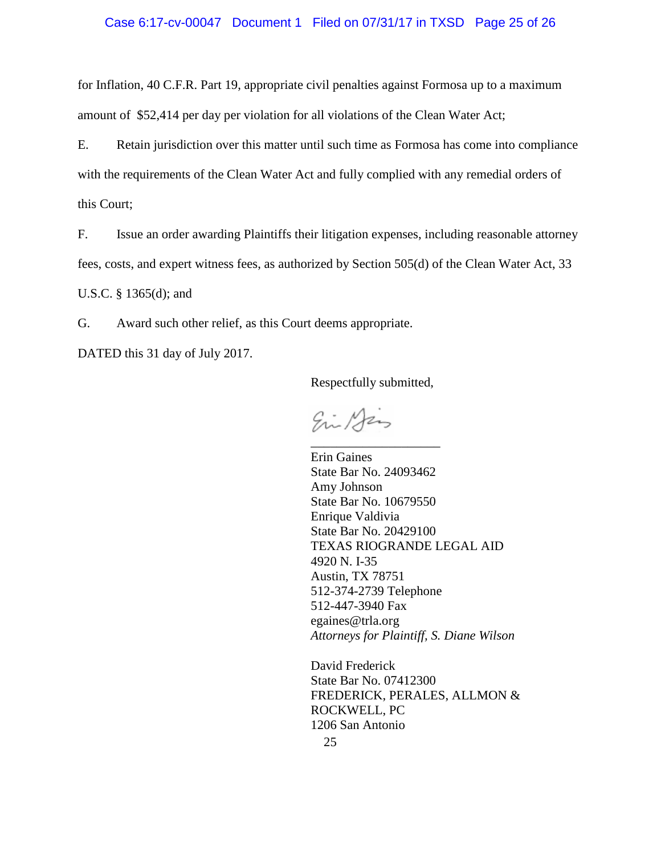### Case 6:17-cv-00047 Document 1 Filed on 07/31/17 in TXSD Page 25 of 26

for Inflation, 40 C.F.R. Part 19, appropriate civil penalties against Formosa up to a maximum amount of \$52,414 per day per violation for all violations of the Clean Water Act;

E. Retain jurisdiction over this matter until such time as Formosa has come into compliance with the requirements of the Clean Water Act and fully complied with any remedial orders of this Court;

F. Issue an order awarding Plaintiffs their litigation expenses, including reasonable attorney fees, costs, and expert witness fees, as authorized by Section 505(d) of the Clean Water Act, 33

U.S.C. § 1365(d); and

G. Award such other relief, as this Court deems appropriate.

DATED this 31 day of July 2017.

Respectfully submitted,

Si Aris \_\_\_\_\_\_\_\_\_\_\_\_\_\_\_\_\_\_\_\_

Erin Gaines State Bar No. 24093462 Amy Johnson State Bar No. 10679550 Enrique Valdivia State Bar No. 20429100 TEXAS RIOGRANDE LEGAL AID 4920 N. I-35 Austin, TX 78751 512-374-2739 Telephone 512-447-3940 Fax egaines@trla.org *Attorneys for Plaintiff, S. Diane Wilson*

David Frederick State Bar No. 07412300 FREDERICK, PERALES, ALLMON & ROCKWELL, PC 1206 San Antonio 25